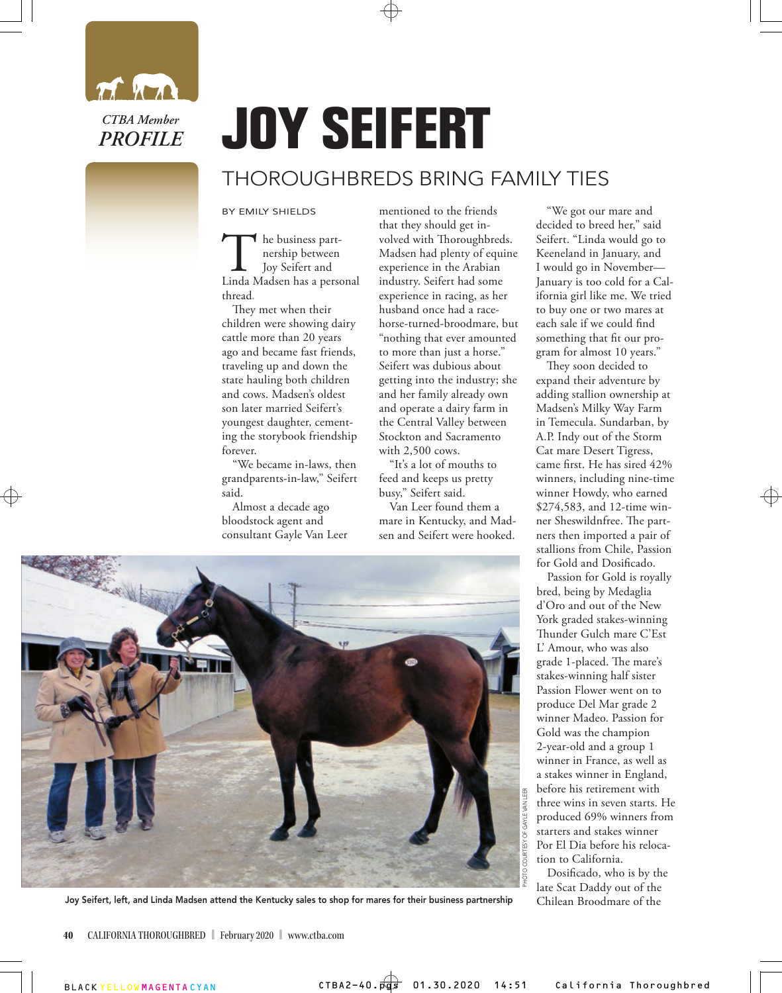

## THOROUGHBREDS BRING FAMILY TIES **JOY SEIFERT**

## BY EMILY SHIELDS

The business part-<br>
nership between<br>
Linda Madsen has a personal nership between Joy Seifert and thread**.** 

They met when their children were showing dairy cattle more than 20 years ago and became fast friends, traveling up and down the state hauling both children and cows. Madsen's oldest son later married Seifert's youngest daughter, cementing the storybook friendship forever.

"We became in-laws, then grandparents-in-law," Seifert said.

Almost a decade ago bloodstock agent and consultant Gayle Van Leer mentioned to the friends that they should get involved with Thoroughbreds. Madsen had plenty of equine experience in the Arabian industry. Seifert had some experience in racing, as her husband once had a racehorse-turned-broodmare, but "nothing that ever amounted to more than just a horse." Seifert was dubious about getting into the industry; she and her family already own and operate a dairy farm in the Central Valley between Stockton and Sacramento with 2,500 cows.

"It's a lot of mouths to feed and keeps us pretty busy," Seifert said.

Van Leer found them a mare in Kentucky, and Madsen and Seifert were hooked.

"We got our mare and decided to breed her," said Seifert. "Linda would go to Keeneland in January, and I would go in November— January is too cold for a California girl like me. We tried to buy one or two mares at each sale if we could find something that fit our program for almost 10 years."

They soon decided to expand their adventure by adding stallion ownership at Madsen's Milky Way Farm in Temecula. Sundarban, by A.P. Indy out of the Storm Cat mare Desert Tigress, came first. He has sired 42% winners, including nine-time winner Howdy, who earned \$274,583, and 12-time winner Sheswildnfree. The partners then imported a pair of stallions from Chile, Passion for Gold and Dosificado.

Passion for Gold is royally bred, being by Medaglia d'Oro and out of the New York graded stakes-winning Thunder Gulch mare C'Est L' Amour, who was also grade 1-placed. The mare's stakes-winning half sister Passion Flower went on to produce Del Mar grade 2 winner Madeo. Passion for Gold was the champion 2-year-old and a group 1 winner in France, as well as a stakes winner in England, before his retirement with three wins in seven starts. He produced 69% winners from starters and stakes winner Por El Dia before his relocation to California.

Dosificado, who is by the late Scat Daddy out of the